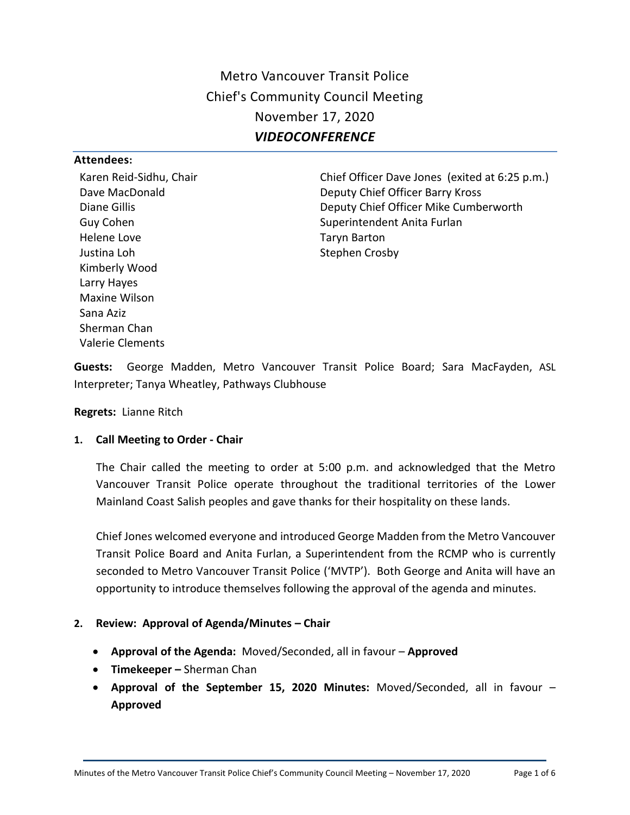Metro Vancouver Transit Police Chief's Community Council Meeting November 17, 2020 *VIDEOCONFERENCE*

#### **Attendees:**

Karen Reid-Sidhu, Chair Dave MacDonald Diane Gillis Guy Cohen Helene Love Justina Loh Kimberly Wood Larry Hayes Maxine Wilson Sana Aziz Sherman Chan Valerie Clements

Chief Officer Dave Jones (exited at 6:25 p.m.) Deputy Chief Officer Barry Kross Deputy Chief Officer Mike Cumberworth Superintendent Anita Furlan Taryn Barton Stephen Crosby

**Guests:** George Madden, Metro Vancouver Transit Police Board; Sara MacFayden, ASL Interpreter; Tanya Wheatley, Pathways Clubhouse

**Regrets:** Lianne Ritch

#### **1. Call Meeting to Order - Chair**

The Chair called the meeting to order at 5:00 p.m. and acknowledged that the Metro Vancouver Transit Police operate throughout the traditional territories of the Lower Mainland Coast Salish peoples and gave thanks for their hospitality on these lands.

Chief Jones welcomed everyone and introduced George Madden from the Metro Vancouver Transit Police Board and Anita Furlan, a Superintendent from the RCMP who is currently seconded to Metro Vancouver Transit Police ('MVTP'). Both George and Anita will have an opportunity to introduce themselves following the approval of the agenda and minutes.

#### **2. Review: Approval of Agenda/Minutes – Chair**

- **Approval of the Agenda:** Moved/Seconded, all in favour **Approved**
- **Timekeeper –** Sherman Chan
- **Approval of the September 15, 2020 Minutes:** Moved/Seconded, all in favour **Approved**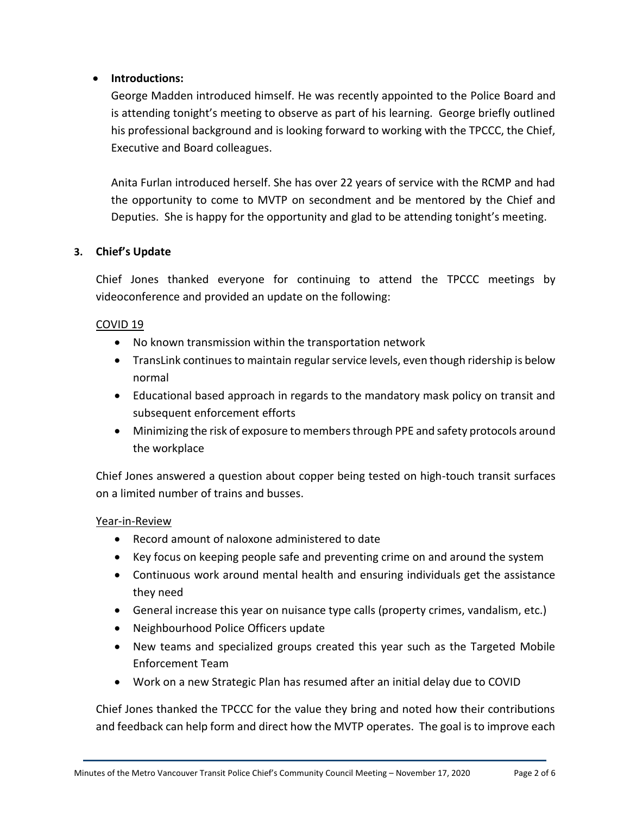# **Introductions:**

George Madden introduced himself. He was recently appointed to the Police Board and is attending tonight's meeting to observe as part of his learning. George briefly outlined his professional background and is looking forward to working with the TPCCC, the Chief, Executive and Board colleagues.

Anita Furlan introduced herself. She has over 22 years of service with the RCMP and had the opportunity to come to MVTP on secondment and be mentored by the Chief and Deputies. She is happy for the opportunity and glad to be attending tonight's meeting.

# **3. Chief's Update**

Chief Jones thanked everyone for continuing to attend the TPCCC meetings by videoconference and provided an update on the following:

# COVID 19

- No known transmission within the transportation network
- TransLink continues to maintain regular service levels, even though ridership is below normal
- Educational based approach in regards to the mandatory mask policy on transit and subsequent enforcement efforts
- Minimizing the risk of exposure to members through PPE and safety protocols around the workplace

Chief Jones answered a question about copper being tested on high-touch transit surfaces on a limited number of trains and busses.

### Year-in-Review

- Record amount of naloxone administered to date
- Key focus on keeping people safe and preventing crime on and around the system
- Continuous work around mental health and ensuring individuals get the assistance they need
- General increase this year on nuisance type calls (property crimes, vandalism, etc.)
- Neighbourhood Police Officers update
- New teams and specialized groups created this year such as the Targeted Mobile Enforcement Team
- Work on a new Strategic Plan has resumed after an initial delay due to COVID

Chief Jones thanked the TPCCC for the value they bring and noted how their contributions and feedback can help form and direct how the MVTP operates. The goal is to improve each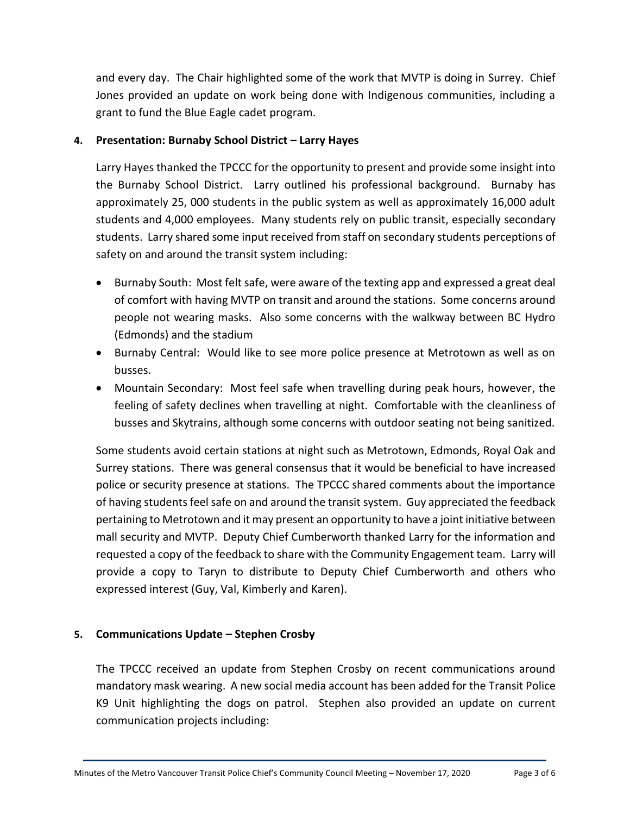and every day. The Chair highlighted some of the work that MVTP is doing in Surrey. Chief Jones provided an update on work being done with Indigenous communities, including a grant to fund the Blue Eagle cadet program.

### **4. Presentation: Burnaby School District – Larry Hayes**

Larry Hayes thanked the TPCCC for the opportunity to present and provide some insight into the Burnaby School District. Larry outlined his professional background. Burnaby has approximately 25, 000 students in the public system as well as approximately 16,000 adult students and 4,000 employees. Many students rely on public transit, especially secondary students. Larry shared some input received from staff on secondary students perceptions of safety on and around the transit system including:

- Burnaby South: Most felt safe, were aware of the texting app and expressed a great deal of comfort with having MVTP on transit and around the stations. Some concerns around people not wearing masks. Also some concerns with the walkway between BC Hydro (Edmonds) and the stadium
- Burnaby Central: Would like to see more police presence at Metrotown as well as on busses.
- Mountain Secondary: Most feel safe when travelling during peak hours, however, the feeling of safety declines when travelling at night. Comfortable with the cleanliness of busses and Skytrains, although some concerns with outdoor seating not being sanitized.

Some students avoid certain stations at night such as Metrotown, Edmonds, Royal Oak and Surrey stations. There was general consensus that it would be beneficial to have increased police or security presence at stations. The TPCCC shared comments about the importance of having students feel safe on and around the transit system. Guy appreciated the feedback pertaining to Metrotown and it may present an opportunity to have a joint initiative between mall security and MVTP. Deputy Chief Cumberworth thanked Larry for the information and requested a copy of the feedback to share with the Community Engagement team. Larry will provide a copy to Taryn to distribute to Deputy Chief Cumberworth and others who expressed interest (Guy, Val, Kimberly and Karen).

# **5. Communications Update – Stephen Crosby**

The TPCCC received an update from Stephen Crosby on recent communications around mandatory mask wearing. A new social media account has been added for the Transit Police K9 Unit highlighting the dogs on patrol. Stephen also provided an update on current communication projects including: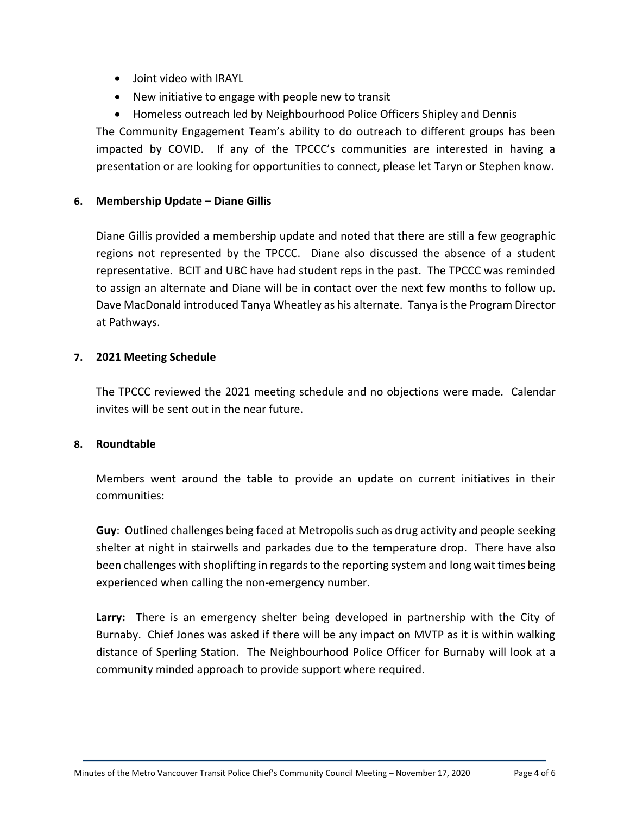- Joint video with IRAYL
- New initiative to engage with people new to transit
- Homeless outreach led by Neighbourhood Police Officers Shipley and Dennis

The Community Engagement Team's ability to do outreach to different groups has been impacted by COVID. If any of the TPCCC's communities are interested in having a presentation or are looking for opportunities to connect, please let Taryn or Stephen know.

### **6. Membership Update – Diane Gillis**

Diane Gillis provided a membership update and noted that there are still a few geographic regions not represented by the TPCCC. Diane also discussed the absence of a student representative. BCIT and UBC have had student reps in the past. The TPCCC was reminded to assign an alternate and Diane will be in contact over the next few months to follow up. Dave MacDonald introduced Tanya Wheatley as his alternate. Tanya is the Program Director at Pathways.

### **7. 2021 Meeting Schedule**

The TPCCC reviewed the 2021 meeting schedule and no objections were made. Calendar invites will be sent out in the near future.

### **8. Roundtable**

Members went around the table to provide an update on current initiatives in their communities:

**Guy**: Outlined challenges being faced at Metropolis such as drug activity and people seeking shelter at night in stairwells and parkades due to the temperature drop. There have also been challenges with shoplifting in regards to the reporting system and long wait times being experienced when calling the non-emergency number.

**Larry:** There is an emergency shelter being developed in partnership with the City of Burnaby. Chief Jones was asked if there will be any impact on MVTP as it is within walking distance of Sperling Station. The Neighbourhood Police Officer for Burnaby will look at a community minded approach to provide support where required.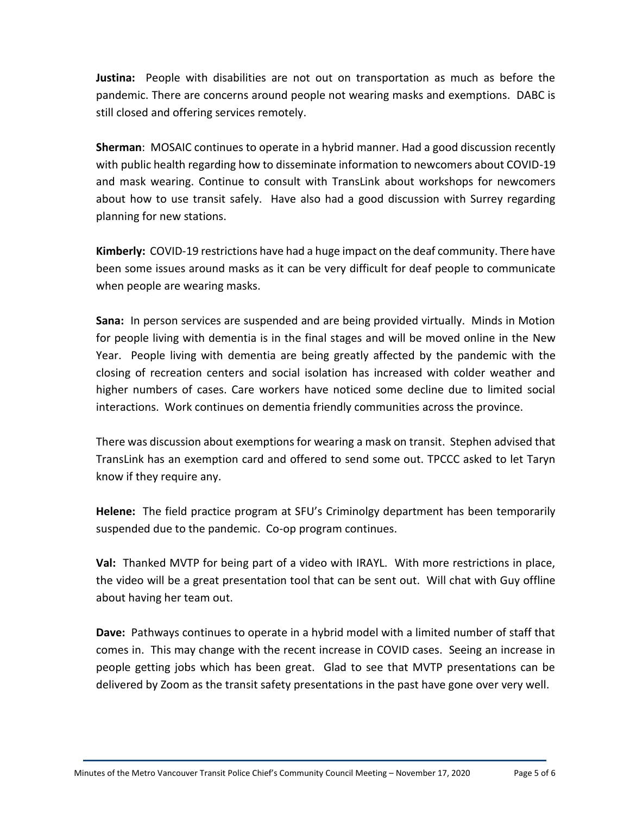**Justina:** People with disabilities are not out on transportation as much as before the pandemic. There are concerns around people not wearing masks and exemptions. DABC is still closed and offering services remotely.

**Sherman**: MOSAIC continues to operate in a hybrid manner. Had a good discussion recently with public health regarding how to disseminate information to newcomers about COVID-19 and mask wearing. Continue to consult with TransLink about workshops for newcomers about how to use transit safely. Have also had a good discussion with Surrey regarding planning for new stations.

**Kimberly:** COVID-19 restrictions have had a huge impact on the deaf community. There have been some issues around masks as it can be very difficult for deaf people to communicate when people are wearing masks.

**Sana:** In person services are suspended and are being provided virtually. Minds in Motion for people living with dementia is in the final stages and will be moved online in the New Year. People living with dementia are being greatly affected by the pandemic with the closing of recreation centers and social isolation has increased with colder weather and higher numbers of cases. Care workers have noticed some decline due to limited social interactions. Work continues on dementia friendly communities across the province.

There was discussion about exemptions for wearing a mask on transit. Stephen advised that TransLink has an exemption card and offered to send some out. TPCCC asked to let Taryn know if they require any.

**Helene:** The field practice program at SFU's Criminolgy department has been temporarily suspended due to the pandemic. Co-op program continues.

**Val:** Thanked MVTP for being part of a video with IRAYL. With more restrictions in place, the video will be a great presentation tool that can be sent out. Will chat with Guy offline about having her team out.

**Dave:** Pathways continues to operate in a hybrid model with a limited number of staff that comes in. This may change with the recent increase in COVID cases. Seeing an increase in people getting jobs which has been great. Glad to see that MVTP presentations can be delivered by Zoom as the transit safety presentations in the past have gone over very well.